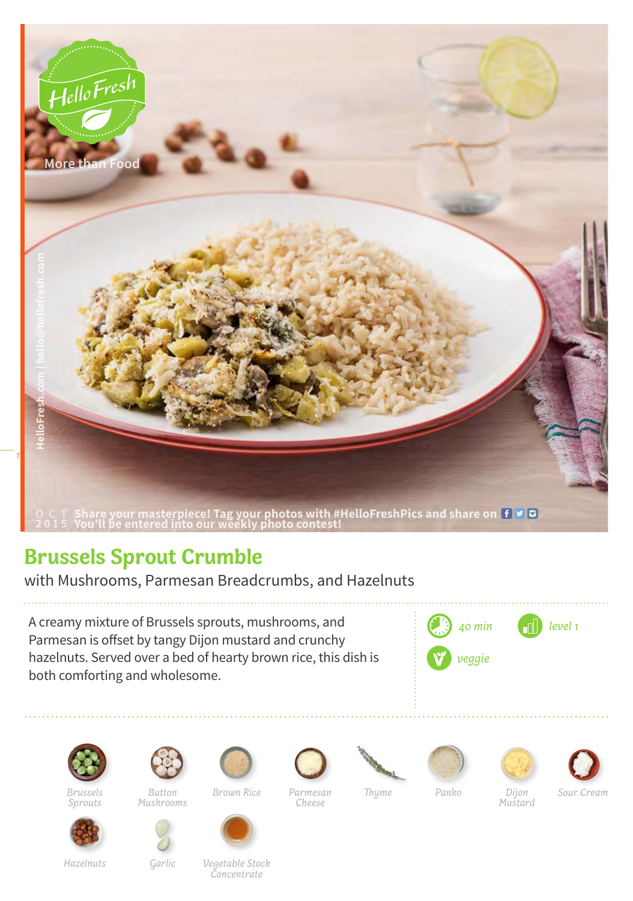

## **Brussels Sprout Crumble**

with Mushrooms, Parmesan Breadcrumbs, and Hazelnuts

A creamy mixture of Brussels sprouts, mushrooms, and Parmesan is offset by tangy Dijon mustard and crunchy hazelnuts. Served over a bed of hearty brown rice, this dish is both comforting and wholesome.





*Brussels Sprouts*



*Mushrooms*





*Parmesan Cheese Brown Rice Thyme Panko*









*Dijon Mustard*

*Sour Cream*

*Hazelnuts Garlic Vegetable Stock Concentrate*